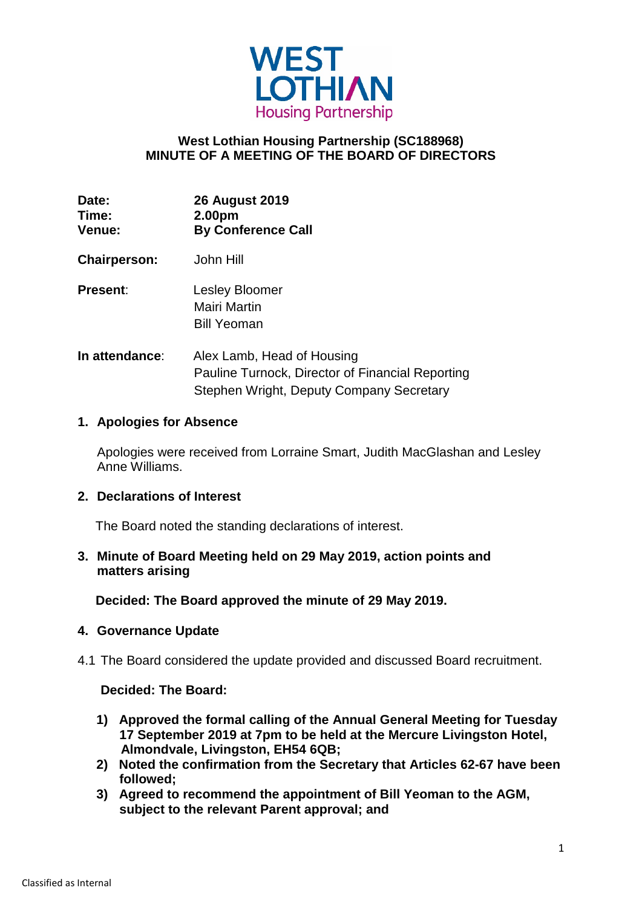

# **West Lothian Housing Partnership (SC188968) MINUTE OF A MEETING OF THE BOARD OF DIRECTORS**

| Date:         | <b>26 August 2019</b>     |
|---------------|---------------------------|
| Time:         | 2.00pm                    |
| <b>Venue:</b> | <b>By Conference Call</b> |

- **Chairperson:** John Hill
- **Present**: Lesley Bloomer Mairi Martin Bill Yeoman
- **In attendance:** Alex Lamb, Head of Housing Pauline Turnock, Director of Financial Reporting Stephen Wright, Deputy Company Secretary

### **1. Apologies for Absence**

Apologies were received from Lorraine Smart, Judith MacGlashan and Lesley Anne Williams.

### **2. Declarations of Interest**

The Board noted the standing declarations of interest.

**3. Minute of Board Meeting held on 29 May 2019, action points and matters arising**

 **Decided: The Board approved the minute of 29 May 2019.**

### **4. Governance Update**

4.1 The Board considered the update provided and discussed Board recruitment.

### **Decided: The Board:**

- **1) Approved the formal calling of the Annual General Meeting for Tuesday 17 September 2019 at 7pm to be held at the Mercure Livingston Hotel, Almondvale, Livingston, EH54 6QB;**
- **2) Noted the confirmation from the Secretary that Articles 62-67 have been followed;**
- **3) Agreed to recommend the appointment of Bill Yeoman to the AGM, subject to the relevant Parent approval; and**